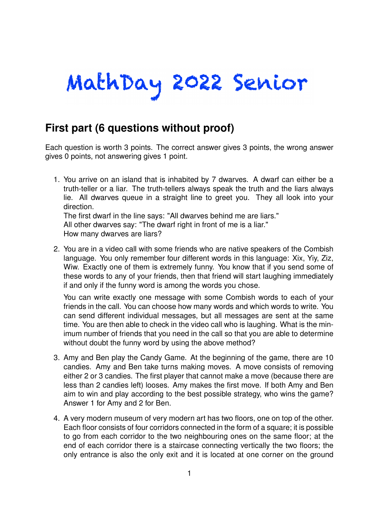## MathDay 2022 Senior

## **First part (6 questions without proof)**

Each question is worth 3 points. The correct answer gives 3 points, the wrong answer gives 0 points, not answering gives 1 point.

1. You arrive on an island that is inhabited by 7 dwarves. A dwarf can either be a truth-teller or a liar. The truth-tellers always speak the truth and the liars always lie. All dwarves queue in a straight line to greet you. They all look into your direction. The first dwarf in the line says: "All dwarves behind me are liars." All other dwarves say: "The dwarf right in front of me is a liar."

How many dwarves are liars?

2. You are in a video call with some friends who are native speakers of the Combish language. You only remember four different words in this language: Xix, Yiy, Ziz, Wiw. Exactly one of them is extremely funny. You know that if you send some of these words to any of your friends, then that friend will start laughing immediately if and only if the funny word is among the words you chose.

You can write exactly one message with some Combish words to each of your friends in the call. You can choose how many words and which words to write. You can send different individual messages, but all messages are sent at the same time. You are then able to check in the video call who is laughing. What is the minimum number of friends that you need in the call so that you are able to determine without doubt the funny word by using the above method?

- 3. Amy and Ben play the Candy Game. At the beginning of the game, there are 10 candies. Amy and Ben take turns making moves. A move consists of removing either 2 or 3 candies. The first player that cannot make a move (because there are less than 2 candies left) looses. Amy makes the first move. If both Amy and Ben aim to win and play according to the best possible strategy, who wins the game? Answer 1 for Amy and 2 for Ben.
- 4. A very modern museum of very modern art has two floors, one on top of the other. Each floor consists of four corridors connected in the form of a square; it is possible to go from each corridor to the two neighbouring ones on the same floor; at the end of each corridor there is a staircase connecting vertically the two floors; the only entrance is also the only exit and it is located at one corner on the ground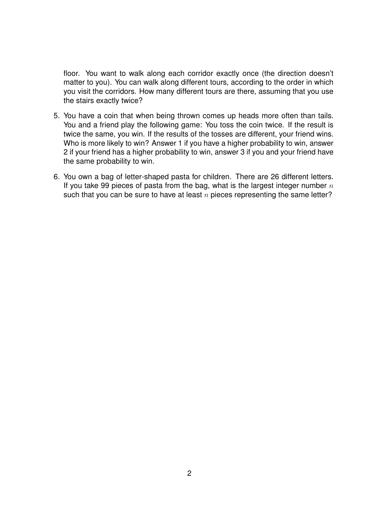floor. You want to walk along each corridor exactly once (the direction doesn't matter to you). You can walk along different tours, according to the order in which you visit the corridors. How many different tours are there, assuming that you use the stairs exactly twice?

- 5. You have a coin that when being thrown comes up heads more often than tails. You and a friend play the following game: You toss the coin twice. If the result is twice the same, you win. If the results of the tosses are different, your friend wins. Who is more likely to win? Answer 1 if you have a higher probability to win, answer 2 if your friend has a higher probability to win, answer 3 if you and your friend have the same probability to win.
- 6. You own a bag of letter-shaped pasta for children. There are 26 different letters. If you take 99 pieces of pasta from the bag, what is the largest integer number *n* such that you can be sure to have at least *n* pieces representing the same letter?